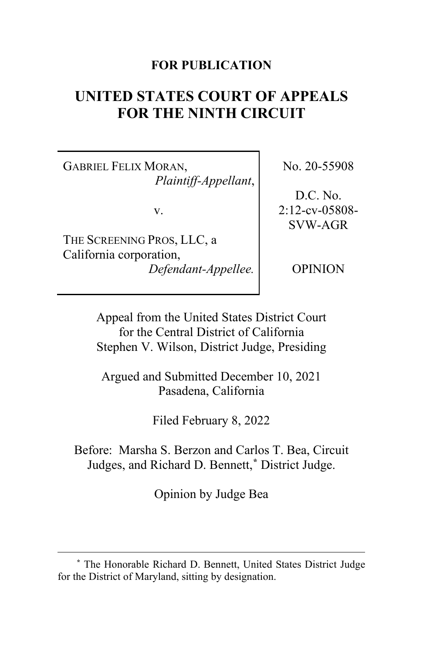## **FOR PUBLICATION**

# **UNITED STATES COURT OF APPEALS FOR THE NINTH CIRCUIT**

GABRIEL FELIX MORAN, *Plaintiff-Appellant*,

v.

THE SCREENING PROS, LLC, a California corporation, *Defendant-Appellee.* No. 20-55908

D.C. No. 2:12-cv-05808- SVW-AGR

OPINION

Appeal from the United States District Court for the Central District of California Stephen V. Wilson, District Judge, Presiding

Argued and Submitted December 10, 2021 Pasadena, California

Filed February 8, 2022

Before: Marsha S. Berzon and Carlos T. Bea, Circuit Judges, and Richard D. Bennett,**\*** District Judge.

Opinion by Judge Bea

**<sup>\*</sup>** The Honorable Richard D. Bennett, United States District Judge for the District of Maryland, sitting by designation.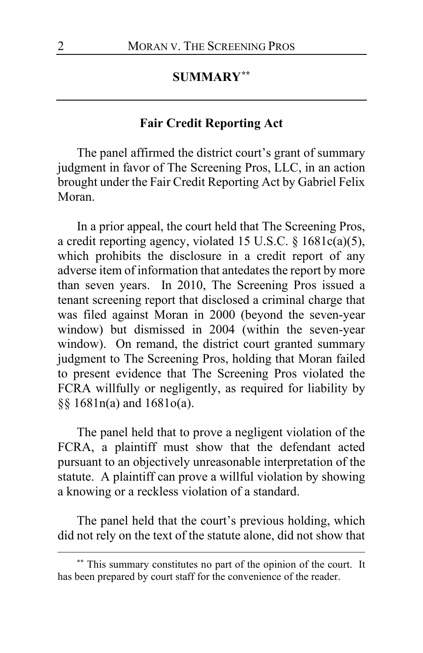### **SUMMARY\*\***

#### **Fair Credit Reporting Act**

The panel affirmed the district court's grant of summary judgment in favor of The Screening Pros, LLC, in an action brought under the Fair Credit Reporting Act by Gabriel Felix Moran.

In a prior appeal, the court held that The Screening Pros, a credit reporting agency, violated 15 U.S.C. § 1681c(a)(5), which prohibits the disclosure in a credit report of any adverse item of information that antedates the report by more than seven years. In 2010, The Screening Pros issued a tenant screening report that disclosed a criminal charge that was filed against Moran in 2000 (beyond the seven-year window) but dismissed in 2004 (within the seven-year window). On remand, the district court granted summary judgment to The Screening Pros, holding that Moran failed to present evidence that The Screening Pros violated the FCRA willfully or negligently, as required for liability by §§ 1681n(a) and 1681o(a).

The panel held that to prove a negligent violation of the FCRA, a plaintiff must show that the defendant acted pursuant to an objectively unreasonable interpretation of the statute. A plaintiff can prove a willful violation by showing a knowing or a reckless violation of a standard.

The panel held that the court's previous holding, which did not rely on the text of the statute alone, did not show that

**<sup>\*\*</sup>** This summary constitutes no part of the opinion of the court. It has been prepared by court staff for the convenience of the reader.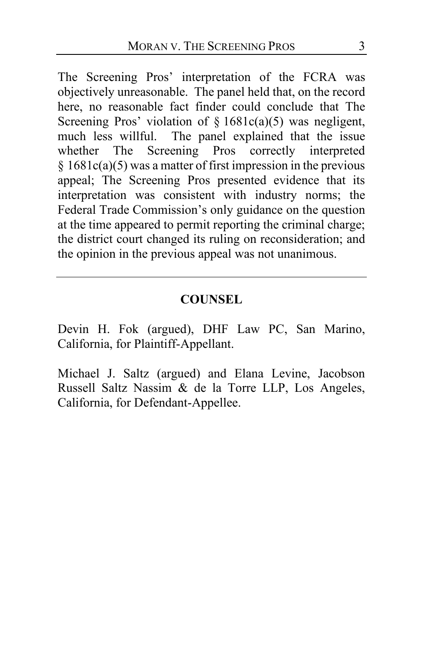The Screening Pros' interpretation of the FCRA was objectively unreasonable. The panel held that, on the record here, no reasonable fact finder could conclude that The Screening Pros' violation of  $\S 1681c(a)(5)$  was negligent, much less willful. The panel explained that the issue whether The Screening Pros correctly interpreted  $§ 1681c(a)(5)$  was a matter of first impression in the previous appeal; The Screening Pros presented evidence that its interpretation was consistent with industry norms; the Federal Trade Commission's only guidance on the question at the time appeared to permit reporting the criminal charge; the district court changed its ruling on reconsideration; and the opinion in the previous appeal was not unanimous.

## **COUNSEL**

Devin H. Fok (argued), DHF Law PC, San Marino, California, for Plaintiff-Appellant.

Michael J. Saltz (argued) and Elana Levine, Jacobson Russell Saltz Nassim & de la Torre LLP, Los Angeles, California, for Defendant-Appellee.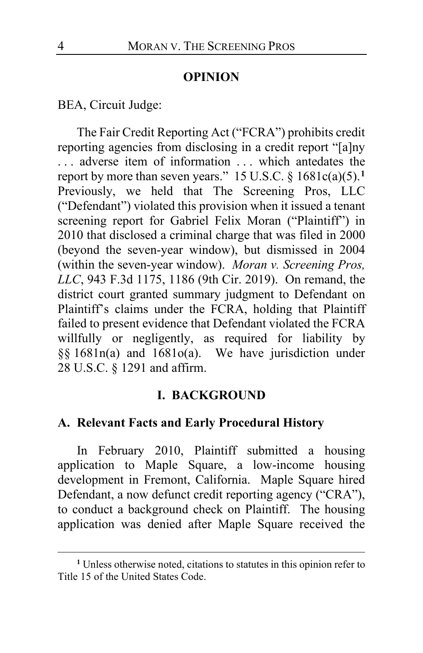#### **OPINION**

BEA, Circuit Judge:

The Fair Credit Reporting Act ("FCRA") prohibits credit reporting agencies from disclosing in a credit report "[a]ny . . . adverse item of information . . . which antedates the report by more than seven years." 15 U.S.C. § 1681c(a)(5).**<sup>1</sup>** Previously, we held that The Screening Pros, LLC ("Defendant") violated this provision when it issued a tenant screening report for Gabriel Felix Moran ("Plaintiff") in 2010 that disclosed a criminal charge that was filed in 2000 (beyond the seven-year window), but dismissed in 2004 (within the seven-year window). *Moran v. Screening Pros, LLC*, 943 F.3d 1175, 1186 (9th Cir. 2019). On remand, the district court granted summary judgment to Defendant on Plaintiff's claims under the FCRA, holding that Plaintiff failed to present evidence that Defendant violated the FCRA willfully or negligently, as required for liability by §§ 1681n(a) and 1681o(a). We have jurisdiction under 28 U.S.C. § 1291 and affirm.

#### **I. BACKGROUND**

## **A. Relevant Facts and Early Procedural History**

In February 2010, Plaintiff submitted a housing application to Maple Square, a low-income housing development in Fremont, California. Maple Square hired Defendant, a now defunct credit reporting agency ("CRA"), to conduct a background check on Plaintiff. The housing application was denied after Maple Square received the

**<sup>1</sup>** Unless otherwise noted, citations to statutes in this opinion refer to Title 15 of the United States Code.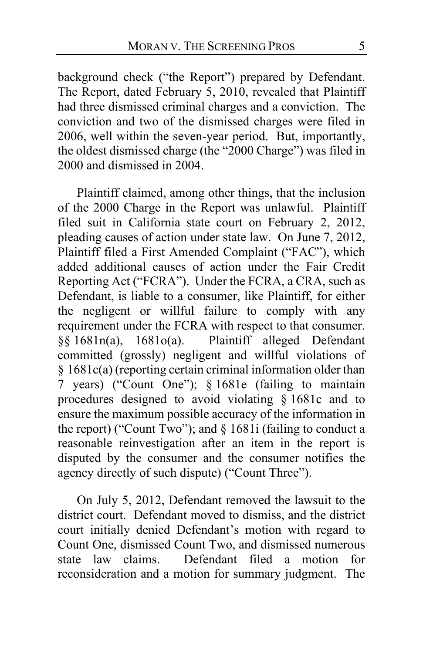background check ("the Report") prepared by Defendant. The Report, dated February 5, 2010, revealed that Plaintiff had three dismissed criminal charges and a conviction. The conviction and two of the dismissed charges were filed in 2006, well within the seven-year period. But, importantly, the oldest dismissed charge (the "2000 Charge") was filed in 2000 and dismissed in 2004.

Plaintiff claimed, among other things, that the inclusion of the 2000 Charge in the Report was unlawful. Plaintiff filed suit in California state court on February 2, 2012, pleading causes of action under state law. On June 7, 2012, Plaintiff filed a First Amended Complaint ("FAC"), which added additional causes of action under the Fair Credit Reporting Act ("FCRA"). Under the FCRA, a CRA, such as Defendant, is liable to a consumer, like Plaintiff, for either the negligent or willful failure to comply with any requirement under the FCRA with respect to that consumer. §§ 1681n(a), 1681o(a). Plaintiff alleged Defendant committed (grossly) negligent and willful violations of § 1681c(a) (reporting certain criminal information older than 7 years) ("Count One"); § 1681e (failing to maintain procedures designed to avoid violating § 1681c and to ensure the maximum possible accuracy of the information in the report) ("Count Two"); and § 1681i (failing to conduct a reasonable reinvestigation after an item in the report is disputed by the consumer and the consumer notifies the agency directly of such dispute) ("Count Three").

On July 5, 2012, Defendant removed the lawsuit to the district court. Defendant moved to dismiss, and the district court initially denied Defendant's motion with regard to Count One, dismissed Count Two, and dismissed numerous state law claims. Defendant filed a motion for reconsideration and a motion for summary judgment. The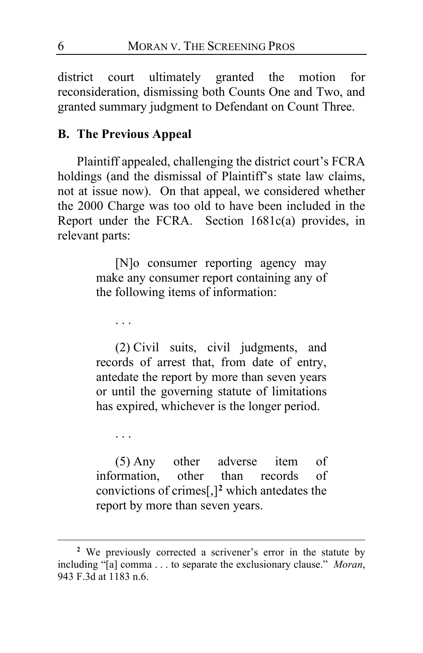district court ultimately granted the motion for reconsideration, dismissing both Counts One and Two, and granted summary judgment to Defendant on Count Three.

# **B. The Previous Appeal**

Plaintiff appealed, challenging the district court's FCRA holdings (and the dismissal of Plaintiff's state law claims, not at issue now). On that appeal, we considered whether the 2000 Charge was too old to have been included in the Report under the FCRA. Section 1681c(a) provides, in relevant parts:

> [N]o consumer reporting agency may make any consumer report containing any of the following items of information:

. . .

(2) Civil suits, civil judgments, and records of arrest that, from date of entry, antedate the report by more than seven years or until the governing statute of limitations has expired, whichever is the longer period.

. . .

(5) Any other adverse item of information, other than records of convictions of crimes[,]**<sup>2</sup>** which antedates the report by more than seven years.

**<sup>2</sup>** We previously corrected a scrivener's error in the statute by including "[a] comma . . . to separate the exclusionary clause." *Moran*, 943 F.3d at 1183 n.6.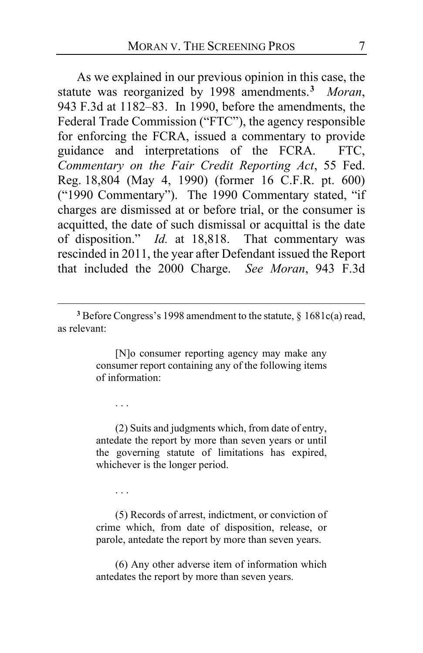As we explained in our previous opinion in this case, the statute was reorganized by 1998 amendments.**<sup>3</sup>** *Moran*, 943 F.3d at 1182–83. In 1990, before the amendments, the Federal Trade Commission ("FTC"), the agency responsible for enforcing the FCRA, issued a commentary to provide guidance and interpretations of the FCRA. FTC, *Commentary on the Fair Credit Reporting Act*, 55 Fed. Reg. 18,804 (May 4, 1990) (former 16 C.F.R. pt. 600) ("1990 Commentary"). The 1990 Commentary stated, "if charges are dismissed at or before trial, or the consumer is acquitted, the date of such dismissal or acquittal is the date of disposition." *Id.* at 18,818. That commentary was rescinded in 2011, the year after Defendant issued the Report that included the 2000 Charge. *See Moran*, 943 F.3d

[N]o consumer reporting agency may make any consumer report containing any of the following items of information:

. . .

(2) Suits and judgments which, from date of entry, antedate the report by more than seven years or until the governing statute of limitations has expired, whichever is the longer period.

. . .

(5) Records of arrest, indictment, or conviction of crime which, from date of disposition, release, or parole, antedate the report by more than seven years.

(6) Any other adverse item of information which antedates the report by more than seven years.

**<sup>3</sup>** Before Congress's 1998 amendment to the statute, § 1681c(a) read, as relevant: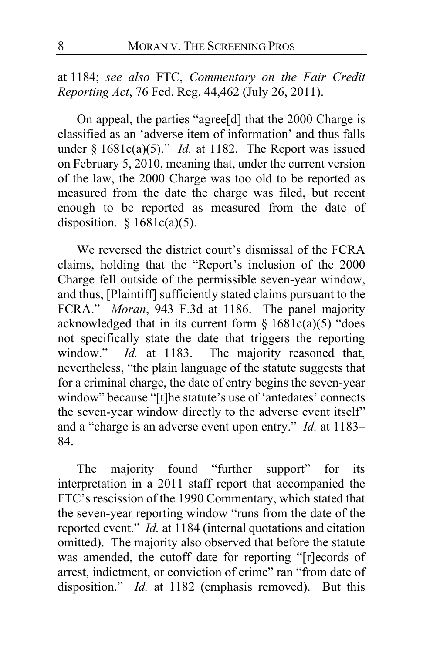at 1184; *see also* FTC, *Commentary on the Fair Credit Reporting Act*, 76 Fed. Reg. 44,462 (July 26, 2011).

On appeal, the parties "agree[d] that the 2000 Charge is classified as an 'adverse item of information' and thus falls under § 1681c(a)(5)." *Id.* at 1182. The Report was issued on February 5, 2010, meaning that, under the current version of the law, the 2000 Charge was too old to be reported as measured from the date the charge was filed, but recent enough to be reported as measured from the date of disposition.  $§ 1681c(a)(5)$ .

We reversed the district court's dismissal of the FCRA claims, holding that the "Report's inclusion of the 2000 Charge fell outside of the permissible seven-year window, and thus, [Plaintiff] sufficiently stated claims pursuant to the FCRA." *Moran*, 943 F.3d at 1186. The panel majority acknowledged that in its current form  $\S 1681c(a)(5)$  "does not specifically state the date that triggers the reporting window." *Id.* at 1183. The majority reasoned that, The majority reasoned that, nevertheless, "the plain language of the statute suggests that for a criminal charge, the date of entry begins the seven-year window" because "[t]he statute's use of 'antedates' connects the seven-year window directly to the adverse event itself" and a "charge is an adverse event upon entry." *Id.* at 1183– 84.

The majority found "further support" for its interpretation in a 2011 staff report that accompanied the FTC's rescission of the 1990 Commentary, which stated that the seven-year reporting window "runs from the date of the reported event." *Id.* at 1184 (internal quotations and citation omitted). The majority also observed that before the statute was amended, the cutoff date for reporting "[r]ecords of arrest, indictment, or conviction of crime" ran "from date of disposition." *Id.* at 1182 (emphasis removed).But this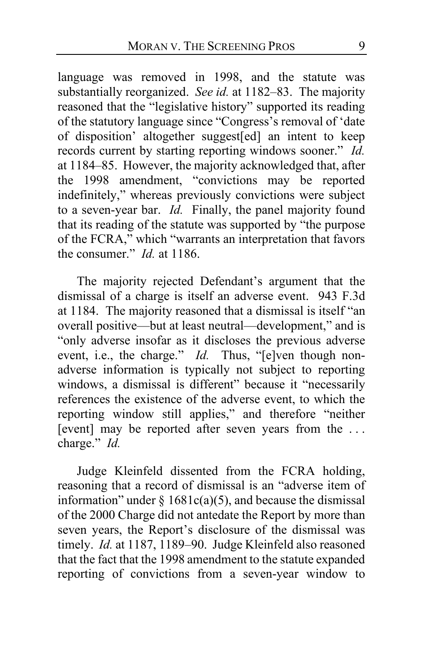language was removed in 1998, and the statute was substantially reorganized. *See id.* at 1182–83. The majority reasoned that the "legislative history" supported its reading of the statutory language since "Congress's removal of 'date of disposition' altogether suggest[ed] an intent to keep records current by starting reporting windows sooner." *Id.* at 1184–85. However, the majority acknowledged that, after the 1998 amendment, "convictions may be reported indefinitely," whereas previously convictions were subject to a seven-year bar. *Id.* Finally, the panel majority found that its reading of the statute was supported by "the purpose of the FCRA," which "warrants an interpretation that favors the consumer." *Id.* at 1186.

The majority rejected Defendant's argument that the dismissal of a charge is itself an adverse event. 943 F.3d at 1184. The majority reasoned that a dismissal is itself "an overall positive—but at least neutral—development," and is "only adverse insofar as it discloses the previous adverse event, i.e., the charge."  $Id$ . Thus, "[e]ven though nonadverse information is typically not subject to reporting windows, a dismissal is different" because it "necessarily references the existence of the adverse event, to which the reporting window still applies," and therefore "neither [event] may be reported after seven years from the ... charge." *Id.*

Judge Kleinfeld dissented from the FCRA holding, reasoning that a record of dismissal is an "adverse item of information" under  $\S 1681c(a)(5)$ , and because the dismissal of the 2000 Charge did not antedate the Report by more than seven years, the Report's disclosure of the dismissal was timely. *Id.* at 1187, 1189–90. Judge Kleinfeld also reasoned that the fact that the 1998 amendment to the statute expanded reporting of convictions from a seven-year window to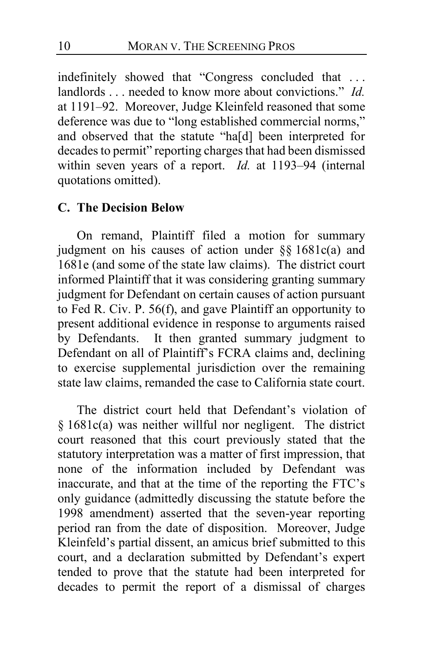indefinitely showed that "Congress concluded that . . . landlords . . . needed to know more about convictions." *Id.* at 1191–92. Moreover, Judge Kleinfeld reasoned that some deference was due to "long established commercial norms," and observed that the statute "ha[d] been interpreted for decades to permit" reporting charges that had been dismissed within seven years of a report. *Id.* at 1193–94 (internal quotations omitted).

### **C. The Decision Below**

On remand, Plaintiff filed a motion for summary judgment on his causes of action under §§ 1681c(a) and 1681e (and some of the state law claims).The district court informed Plaintiff that it was considering granting summary judgment for Defendant on certain causes of action pursuant to Fed R. Civ. P. 56(f), and gave Plaintiff an opportunity to present additional evidence in response to arguments raised by Defendants. It then granted summary judgment to Defendant on all of Plaintiff's FCRA claims and, declining to exercise supplemental jurisdiction over the remaining state law claims, remanded the case to California state court.

The district court held that Defendant's violation of § 1681c(a) was neither willful nor negligent. The district court reasoned that this court previously stated that the statutory interpretation was a matter of first impression, that none of the information included by Defendant was inaccurate, and that at the time of the reporting the FTC's only guidance (admittedly discussing the statute before the 1998 amendment) asserted that the seven-year reporting period ran from the date of disposition. Moreover, Judge Kleinfeld's partial dissent, an amicus brief submitted to this court, and a declaration submitted by Defendant's expert tended to prove that the statute had been interpreted for decades to permit the report of a dismissal of charges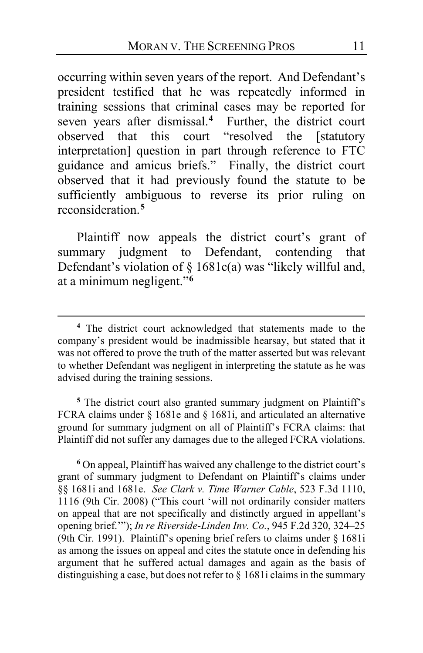occurring within seven years of the report. And Defendant's president testified that he was repeatedly informed in training sessions that criminal cases may be reported for seven years after dismissal.**<sup>4</sup>** Further, the district court observed that this court "resolved the [statutory interpretation] question in part through reference to FTC guidance and amicus briefs." Finally, the district court observed that it had previously found the statute to be sufficiently ambiguous to reverse its prior ruling on reconsideration.**<sup>5</sup>**

Plaintiff now appeals the district court's grant of summary judgment to Defendant, contending that Defendant's violation of § 1681c(a) was "likely willful and, at a minimum negligent."**<sup>6</sup>**

**<sup>5</sup>** The district court also granted summary judgment on Plaintiff's FCRA claims under § 1681e and § 1681i, and articulated an alternative ground for summary judgment on all of Plaintiff's FCRA claims: that Plaintiff did not suffer any damages due to the alleged FCRA violations.

**<sup>6</sup>** On appeal, Plaintiff has waived any challenge to the district court's grant of summary judgment to Defendant on Plaintiff's claims under §§ 1681i and 1681e. *See Clark v. Time Warner Cable*, 523 F.3d 1110, 1116 (9th Cir. 2008) ("This court 'will not ordinarily consider matters on appeal that are not specifically and distinctly argued in appellant's opening brief.'"); *In re Riverside-Linden Inv. Co.*, 945 F.2d 320, 324–25 (9th Cir. 1991). Plaintiff's opening brief refers to claims under § 1681i as among the issues on appeal and cites the statute once in defending his argument that he suffered actual damages and again as the basis of distinguishing a case, but does not refer to § 1681i claims in the summary

**<sup>4</sup>** The district court acknowledged that statements made to the company's president would be inadmissible hearsay, but stated that it was not offered to prove the truth of the matter asserted but was relevant to whether Defendant was negligent in interpreting the statute as he was advised during the training sessions.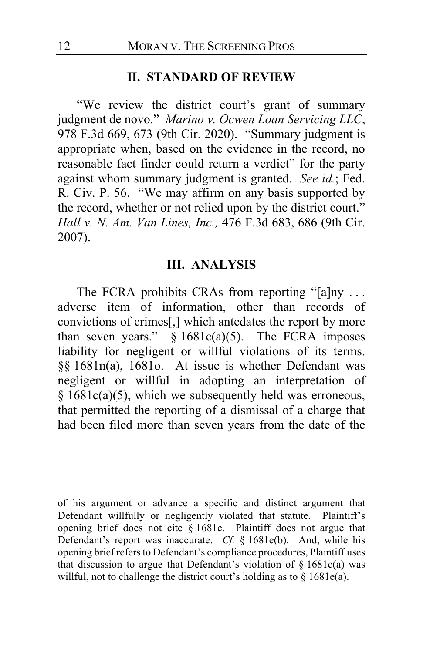#### **II. STANDARD OF REVIEW**

"We review the district court's grant of summary judgment de novo." *Marino v. Ocwen Loan Servicing LLC*, 978 F.3d 669, 673 (9th Cir. 2020). "Summary judgment is appropriate when, based on the evidence in the record, no reasonable fact finder could return a verdict" for the party against whom summary judgment is granted. *See id.*; Fed. R. Civ. P. 56. "We may affirm on any basis supported by the record, whether or not relied upon by the district court." *Hall v. N. Am. Van Lines, Inc.,* 476 F.3d 683, 686 (9th Cir. 2007).

#### **III. ANALYSIS**

The FCRA prohibits CRAs from reporting "[a]ny ... adverse item of information, other than records of convictions of crimes[,] which antedates the report by more than seven years."  $§ 1681c(a)(5)$ . The FCRA imposes liability for negligent or willful violations of its terms. §§ 1681n(a), 1681o. At issue is whether Defendant was negligent or willful in adopting an interpretation of § 1681c(a)(5), which we subsequently held was erroneous, that permitted the reporting of a dismissal of a charge that had been filed more than seven years from the date of the

of his argument or advance a specific and distinct argument that Defendant willfully or negligently violated that statute. Plaintiff's opening brief does not cite § 1681e. Plaintiff does not argue that Defendant's report was inaccurate. *Cf.* § 1681e(b). And, while his opening brief refers to Defendant's compliance procedures, Plaintiff uses that discussion to argue that Defendant's violation of  $\S$  1681c(a) was willful, not to challenge the district court's holding as to § 1681e(a).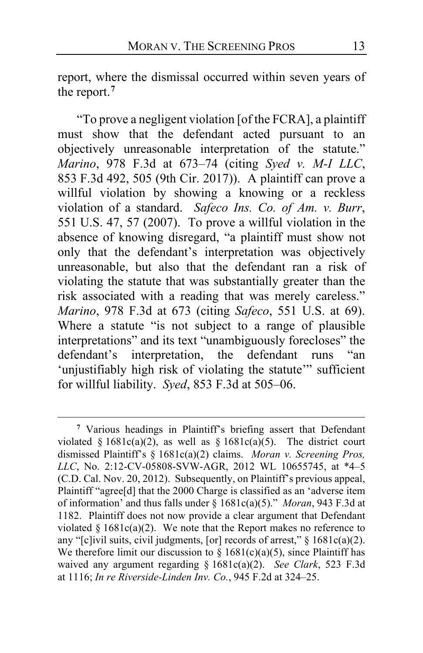report, where the dismissal occurred within seven years of the report.**<sup>7</sup>**

"To prove a negligent violation [of the FCRA], a plaintiff must show that the defendant acted pursuant to an objectively unreasonable interpretation of the statute." *Marino*, 978 F.3d at 673–74 (citing *Syed v. M-I LLC*, 853 F.3d 492, 505 (9th Cir. 2017)). A plaintiff can prove a willful violation by showing a knowing or a reckless violation of a standard. *Safeco Ins. Co. of Am. v. Burr*, 551 U.S. 47, 57 (2007). To prove a willful violation in the absence of knowing disregard, "a plaintiff must show not only that the defendant's interpretation was objectively unreasonable, but also that the defendant ran a risk of violating the statute that was substantially greater than the risk associated with a reading that was merely careless." *Marino*, 978 F.3d at 673 (citing *Safeco*, 551 U.S. at 69). Where a statute "is not subject to a range of plausible interpretations" and its text "unambiguously forecloses" the defendant's interpretation, the defendant runs "an 'unjustifiably high risk of violating the statute'" sufficient for willful liability. *Syed*, 853 F.3d at 505–06.

**<sup>7</sup>** Various headings in Plaintiff's briefing assert that Defendant violated §  $1681c(a)(2)$ , as well as §  $1681c(a)(5)$ . The district court dismissed Plaintiff's § 1681c(a)(2) claims. *Moran v. Screening Pros, LLC*, No. 2:12-CV-05808-SVW-AGR, 2012 WL 10655745, at \*4–5 (C.D. Cal. Nov. 20, 2012). Subsequently, on Plaintiff's previous appeal, Plaintiff "agree[d] that the 2000 Charge is classified as an 'adverse item of information' and thus falls under § 1681c(a)(5)." *Moran*, 943 F.3d at 1182. Plaintiff does not now provide a clear argument that Defendant violated  $§ 1681c(a)(2)$ . We note that the Report makes no reference to any "[c]ivil suits, civil judgments, [or] records of arrest," § 1681c(a)(2). We therefore limit our discussion to  $\frac{8}{9}$  1681(c)(a)(5), since Plaintiff has waived any argument regarding § 1681c(a)(2). *See Clark*, 523 F.3d at 1116; *In re Riverside-Linden Inv. Co.*, 945 F.2d at 324–25.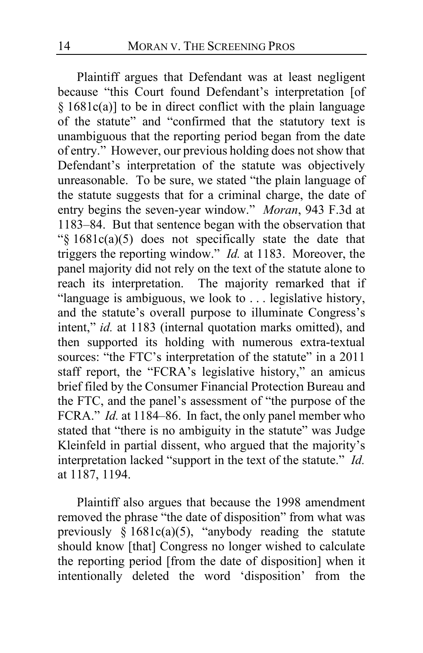Plaintiff argues that Defendant was at least negligent because "this Court found Defendant's interpretation [of  $§$  1681c(a)] to be in direct conflict with the plain language of the statute" and "confirmed that the statutory text is unambiguous that the reporting period began from the date of entry."However, our previous holding does not show that Defendant's interpretation of the statute was objectively unreasonable. To be sure, we stated "the plain language of the statute suggests that for a criminal charge, the date of entry begins the seven-year window." *Moran*, 943 F.3d at 1183–84. But that sentence began with the observation that "§ 1681c(a)(5) does not specifically state the date that triggers the reporting window." *Id.* at 1183. Moreover, the panel majority did not rely on the text of the statute alone to reach its interpretation. The majority remarked that if "language is ambiguous, we look to . . . legislative history, and the statute's overall purpose to illuminate Congress's intent," *id.* at 1183 (internal quotation marks omitted), and then supported its holding with numerous extra-textual sources: "the FTC's interpretation of the statute" in a 2011 staff report, the "FCRA's legislative history," an amicus brief filed by the Consumer Financial Protection Bureau and the FTC, and the panel's assessment of "the purpose of the FCRA." *Id.* at 1184–86. In fact, the only panel member who stated that "there is no ambiguity in the statute" was Judge Kleinfeld in partial dissent, who argued that the majority's interpretation lacked "support in the text of the statute." *Id.* at 1187, 1194.

Plaintiff also argues that because the 1998 amendment removed the phrase "the date of disposition" from what was previously  $§ 1681c(a)(5)$ , "anybody reading the statute should know [that] Congress no longer wished to calculate the reporting period [from the date of disposition] when it intentionally deleted the word 'disposition' from the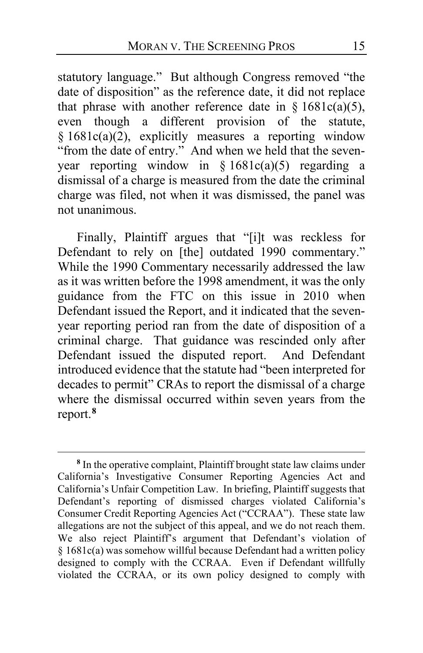statutory language." But although Congress removed "the date of disposition" as the reference date, it did not replace that phrase with another reference date in §  $1681c(a)(5)$ , even though a different provision of the statute,  $§ 1681c(a)(2)$ , explicitly measures a reporting window "from the date of entry." And when we held that the sevenyear reporting window in  $§ 1681c(a)(5)$  regarding a dismissal of a charge is measured from the date the criminal charge was filed, not when it was dismissed, the panel was not unanimous.

Finally, Plaintiff argues that "[i]t was reckless for Defendant to rely on [the] outdated 1990 commentary." While the 1990 Commentary necessarily addressed the law as it was written before the 1998 amendment, it was the only guidance from the FTC on this issue in 2010 when Defendant issued the Report, and it indicated that the sevenyear reporting period ran from the date of disposition of a criminal charge. That guidance was rescinded only after Defendant issued the disputed report. And Defendant introduced evidence that the statute had "been interpreted for decades to permit" CRAs to report the dismissal of a charge where the dismissal occurred within seven years from the report.**<sup>8</sup>**

**<sup>8</sup>** In the operative complaint, Plaintiff brought state law claims under California's Investigative Consumer Reporting Agencies Act and California's Unfair Competition Law. In briefing, Plaintiff suggests that Defendant's reporting of dismissed charges violated California's Consumer Credit Reporting Agencies Act ("CCRAA"). These state law allegations are not the subject of this appeal, and we do not reach them. We also reject Plaintiff's argument that Defendant's violation of § 1681c(a) was somehow willful because Defendant had a written policy designed to comply with the CCRAA. Even if Defendant willfully violated the CCRAA, or its own policy designed to comply with